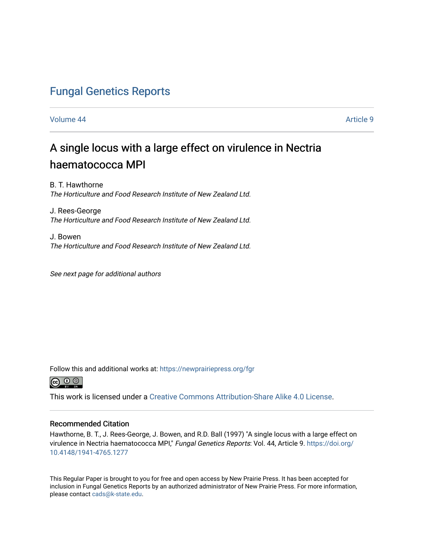# [Fungal Genetics Reports](https://newprairiepress.org/fgr)

#### [Volume 44](https://newprairiepress.org/fgr/vol44) [Article 9](https://newprairiepress.org/fgr/vol44/iss1/9)

# A single locus with a large effect on virulence in Nectria haematococca MPI

B. T. Hawthorne The Horticulture and Food Research Institute of New Zealand Ltd.

J. Rees-George The Horticulture and Food Research Institute of New Zealand Ltd.

J. Bowen The Horticulture and Food Research Institute of New Zealand Ltd.

See next page for additional authors

Follow this and additional works at: [https://newprairiepress.org/fgr](https://newprairiepress.org/fgr?utm_source=newprairiepress.org%2Ffgr%2Fvol44%2Fiss1%2F9&utm_medium=PDF&utm_campaign=PDFCoverPages) 



This work is licensed under a [Creative Commons Attribution-Share Alike 4.0 License.](https://creativecommons.org/licenses/by-sa/4.0/)

#### Recommended Citation

Hawthorne, B. T., J. Rees-George, J. Bowen, and R.D. Ball (1997) "A single locus with a large effect on virulence in Nectria haematococca MPI," Fungal Genetics Reports: Vol. 44, Article 9. [https://doi.org/](https://doi.org/10.4148/1941-4765.1277) [10.4148/1941-4765.1277](https://doi.org/10.4148/1941-4765.1277)

This Regular Paper is brought to you for free and open access by New Prairie Press. It has been accepted for inclusion in Fungal Genetics Reports by an authorized administrator of New Prairie Press. For more information, please contact [cads@k-state.edu.](mailto:cads@k-state.edu)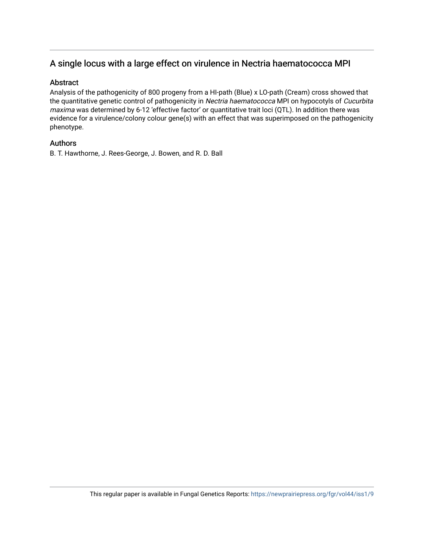## A single locus with a large effect on virulence in Nectria haematococca MPI

### Abstract

Analysis of the pathogenicity of 800 progeny from a HI-path (Blue) x LO-path (Cream) cross showed that the quantitative genetic control of pathogenicity in Nectria haematococca MPI on hypocotyls of Cucurbita maxima was determined by 6-12 'effective factor' or quantitative trait loci (QTL). In addition there was evidence for a virulence/colony colour gene(s) with an effect that was superimposed on the pathogenicity phenotype.

### Authors

B. T. Hawthorne, J. Rees-George, J. Bowen, and R. D. Ball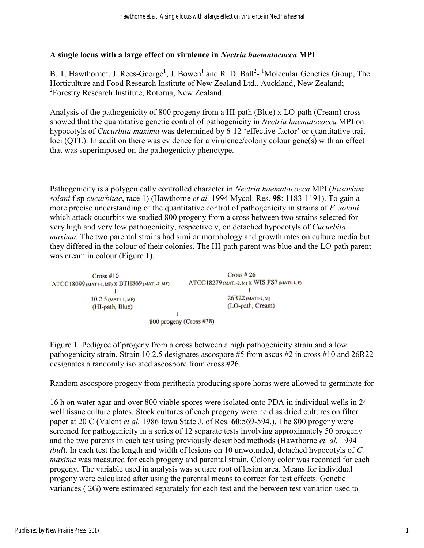### **A single locus with a large effect on virulence in** *Nectria haematococca* **MPI**

B. T. Hawthorne<sup>1</sup>, J. Rees-George<sup>1</sup>, J. Bowen<sup>1</sup> and R. D. Ball<sup>2</sup>-<sup>1</sup>Molecular Genetics Group, The Horticulture and Food Research Institute of New Zealand Ltd., Auckland, New Zealand; <sup>2</sup> Forestry Research Institute, Rotorua, New Zealand.

Analysis of the pathogenicity of 800 progeny from a HI-path (Blue) x LO-path (Cream) cross showed that the quantitative genetic control of pathogenicity in *Nectria haematococca* MPI on hypocotyls of *Cucurbita maxima* was determined by 6-12 'effective factor' or quantitative trait loci (QTL). In addition there was evidence for a virulence/colony colour gene(s) with an effect that was superimposed on the pathogenicity phenotype.

Pathogenicity is a polygenically controlled character in *Nectria haematococca* MPI (*Fusarium solani* f.sp *cucurbitae*, race 1) (Hawthorne *et al.* 1994 Mycol. Res. **98**: 1183-1191). To gain a more precise understanding of the quantitative control of pathogenicity in strains of *F. solani* which attack cucurbits we studied 800 progeny from a cross between two strains selected for very high and very low pathogenicity, respectively, on detached hypocotyls of *Cucurbita maxima*. The two parental strains had similar morphology and growth rates on culture media but they differed in the colour of their colonies. The HI-path parent was blue and the LO-path parent was cream in colour (Figure 1).

| Cross #10<br>ATCC18099 (MAT1-1, MF) X BTH869 (MAT1-2, MF)<br>10.2.5 (MATI-1, MF)<br>(HI-path, Blue) | Cross # 26<br>ATCC18279 (MATL2, M) X WIS FS7 (MATL1, F)<br>26R22 (MAT1-2, M)<br>(LO-path, Cream) |  |  |  |  |  |
|-----------------------------------------------------------------------------------------------------|--------------------------------------------------------------------------------------------------|--|--|--|--|--|
|                                                                                                     |                                                                                                  |  |  |  |  |  |
| 800 progeny (Cross #38)                                                                             |                                                                                                  |  |  |  |  |  |

Figure 1. Pedigree of progeny from a cross between a high pathogenicity strain and a low pathogenicity strain. Strain 10.2.5 designates ascospore #5 from ascus #2 in cross #10 and 26R22 designates a randomly isolated ascospore from cross #26.

Random ascospore progeny from perithecia producing spore horns were allowed to germinate for

16 h on water agar and over 800 viable spores were isolated onto PDA in individual wells in 24 well tissue culture plates. Stock cultures of each progeny were held as dried cultures on filter paper at 20 C (Valent *et al.* 1986 Iowa State J. of Res. **60**:569-594.). The 800 progeny were screened for pathogenicity in a series of 12 separate tests involving approximately 50 progeny and the two parents in each test using previously described methods (Hawthorne *et. al.* 1994 *ibid*). In each test the length and width of lesions on 10 unwounded, detached hypocotyls of *C. maxima* was measured for each progeny and parental strain. Colony color was recorded for each progeny. The variable used in analysis was square root of lesion area. Means for individual progeny were calculated after using the parental means to correct for test effects. Genetic variances ( 2G) were estimated separately for each test and the between test variation used to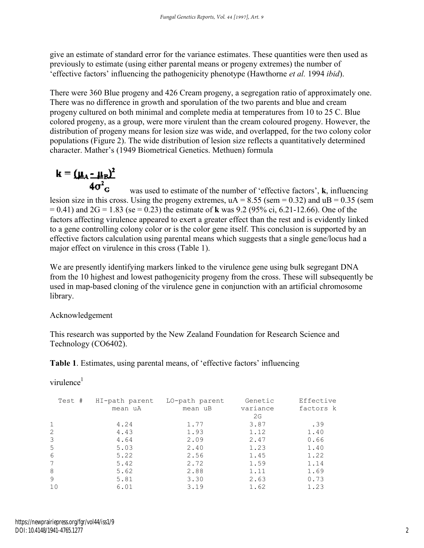give an estimate of standard error for the variance estimates. These quantities were then used as previously to estimate (using either parental means or progeny extremes) the number of 'effective factors' influencing the pathogenicity phenotype (Hawthorne *et al.* 1994 *ibid*).

There were 360 Blue progeny and 426 Cream progeny, a segregation ratio of approximately one. There was no difference in growth and sporulation of the two parents and blue and cream progeny cultured on both minimal and complete media at temperatures from 10 to 25 C. Blue colored progeny, as a group, were more virulent than the cream coloured progeny. However, the distribution of progeny means for lesion size was wide, and overlapped, for the two colony color populations (Figure 2). The wide distribution of lesion size reflects a quantitatively determined character. Mather's (1949 Biometrical Genetics. Methuen) formula

$$
k = (\underline{\mu}_A - \underline{\mu}_B)^2
$$

$$
4\sigma^2
$$

+v G was used to estimate of the number of 'effective factors', **k**, influencing lesion size in this cross. Using the progeny extremes,  $uA = 8.55$  (sem = 0.32) and  $uB = 0.35$  (sem = 0.41) and 2G = 1.83 (se = 0.23) the estimate of **k** was 9.2 (95% ci, 6.21-12.66). One of the factors affecting virulence appeared to exert a greater effect than the rest and is evidently linked to a gene controlling colony color or is the color gene itself. This conclusion is supported by an effective factors calculation using parental means which suggests that a single gene/locus had a major effect on virulence in this cross (Table 1).

We are presently identifying markers linked to the virulence gene using bulk segregant DNA from the 10 highest and lowest pathogenicity progeny from the cross. These will subsequently be used in map-based cloning of the virulence gene in conjunction with an artificial chromosome library.

### Acknowledgement

This research was supported by the New Zealand Foundation for Research Science and Technology (CO6402).

**Table 1**. Estimates, using parental means, of 'effective factors' influencing

virulence<sup>1</sup>

| Test # | HI-path parent | LO-path parent | Genetic        | Effective |
|--------|----------------|----------------|----------------|-----------|
|        | mean uA        | mean uB        | variance<br>2G | factors k |
|        |                |                |                |           |
| 1      | 4.24           | 1.77           | 3.87           | .39       |
| 2      | 4.43           | 1.93           | 1.12           | 1.40      |
| 3      | 4.64           | 2.09           | 2.47           | 0.66      |
| 5      | 5.03           | 2.40           | 1.23           | 1.40      |
| 6      | 5.22           | 2.56           | 1.45           | 1.22      |
| 7      | 5.42           | 2.72           | 1.59           | 1.14      |
| 8      | 5.62           | 2.88           | 1.11           | 1.69      |
| 9      | 5.81           | 3.30           | 2.63           | 0.73      |
| 10     | 6.01           | 3.19           | 1.62           | 1.23      |